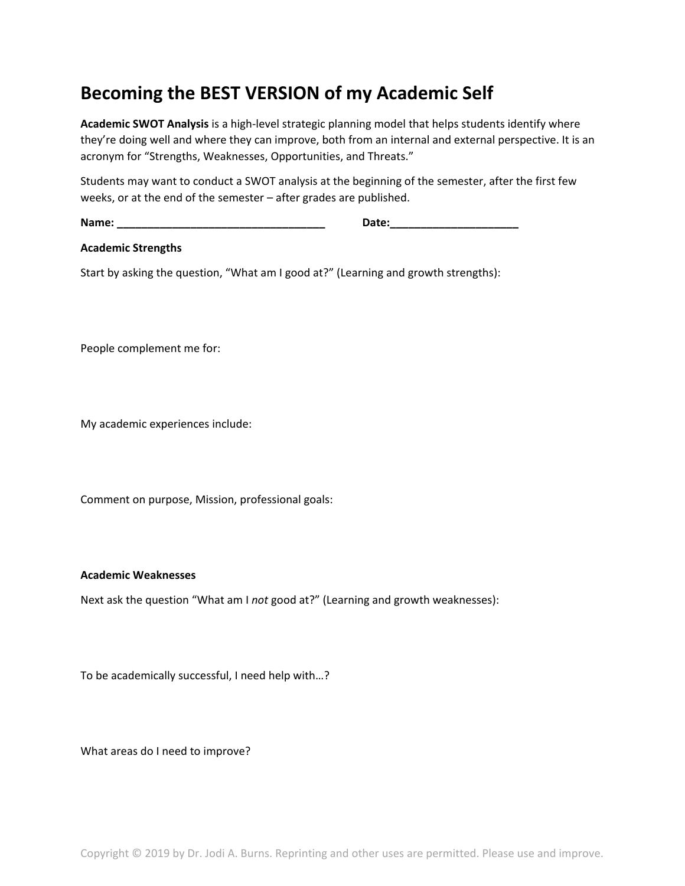## **Becoming the BEST VERSION of my Academic Self**

**Academic SWOT Analysis** is a high-level strategic planning model that helps students identify where they're doing well and where they can improve, both from an internal and external perspective. It is an acronym for "Strengths, Weaknesses, Opportunities, and Threats."

Students may want to conduct a SWOT analysis at the beginning of the semester, after the first few weeks, or at the end of the semester – after grades are published.

**Name: \_\_\_\_\_\_\_\_\_\_\_\_\_\_\_\_\_\_\_\_\_\_\_\_\_\_\_\_\_\_\_\_\_\_ Date:\_\_\_\_\_\_\_\_\_\_\_\_\_\_\_\_\_\_\_\_\_**

**Academic Strengths**

Start by asking the question, "What am I good at?" (Learning and growth strengths):

People complement me for:

My academic experiences include:

Comment on purpose, Mission, professional goals:

## **Academic Weaknesses**

Next ask the question "What am I *not* good at?" (Learning and growth weaknesses):

To be academically successful, I need help with…?

What areas do I need to improve?